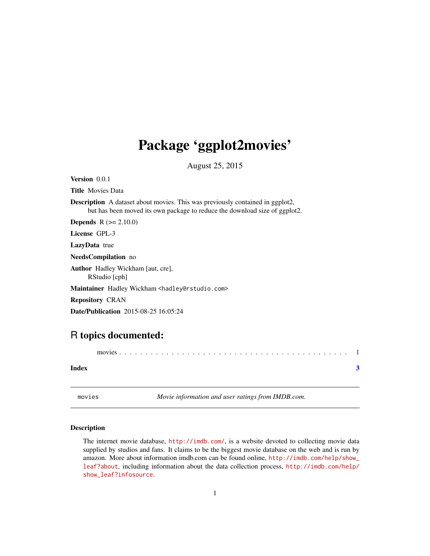## <span id="page-0-0"></span>Package 'ggplot2movies'

August 25, 2015

Version 0.0.1

Title Movies Data

Description A dataset about movies. This was previously contained in ggplot2, but has been moved its own package to reduce the download size of ggplot2.

**Depends**  $R (= 2.10.0)$ 

License GPL-3

LazyData true

NeedsCompilation no

Author Hadley Wickham [aut, cre], RStudio [cph]

Maintainer Hadley Wickham <hadley@rstudio.com>

Repository CRAN

Date/Publication 2015-08-25 16:05:24

### R topics documented:

movies . . . . . . . . . . . . . . . . . . . . . . . . . . . . . . . . . . . . . . . . . . . . [1](#page-0-0) **Index** [3](#page-2-0)

movies *Movie information and user ratings from IMDB.com.*

#### Description

The internet movie database, <http://imdb.com/>, is a website devoted to collecting movie data supplied by studios and fans. It claims to be the biggest movie database on the web and is run by amazon. More about information imdb.com can be found online, [http://imdb.com/help/show\\_](http://imdb.com/help/show_leaf?about) [leaf?about](http://imdb.com/help/show_leaf?about), including information about the data collection process, [http://imdb.com/help/](http://imdb.com/help/show_leaf?infosource) [show\\_leaf?infosource](http://imdb.com/help/show_leaf?infosource).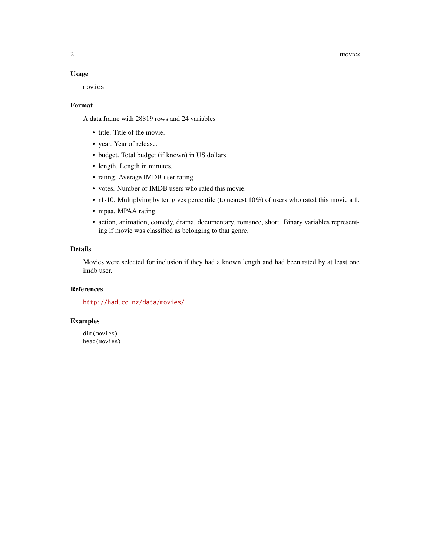#### 2 movies and  $\sim$  movies and  $\sim$  movies and  $\sim$  movies and  $\sim$  movies and  $\sim$  movies and  $\sim$  movies and  $\sim$  movies and  $\sim$  movies and  $\sim$  movies and  $\sim$  movies and  $\sim$  movies and  $\sim$  movies and  $\sim$  movies and

#### Usage

movies

#### Format

A data frame with 28819 rows and 24 variables

- title. Title of the movie.
- year. Year of release.
- budget. Total budget (if known) in US dollars
- length. Length in minutes.
- rating. Average IMDB user rating.
- votes. Number of IMDB users who rated this movie.
- r1-10. Multiplying by ten gives percentile (to nearest 10%) of users who rated this movie a 1.
- mpaa. MPAA rating.
- action, animation, comedy, drama, documentary, romance, short. Binary variables representing if movie was classified as belonging to that genre.

#### Details

Movies were selected for inclusion if they had a known length and had been rated by at least one imdb user.

#### References

<http://had.co.nz/data/movies/>

#### Examples

dim(movies) head(movies)